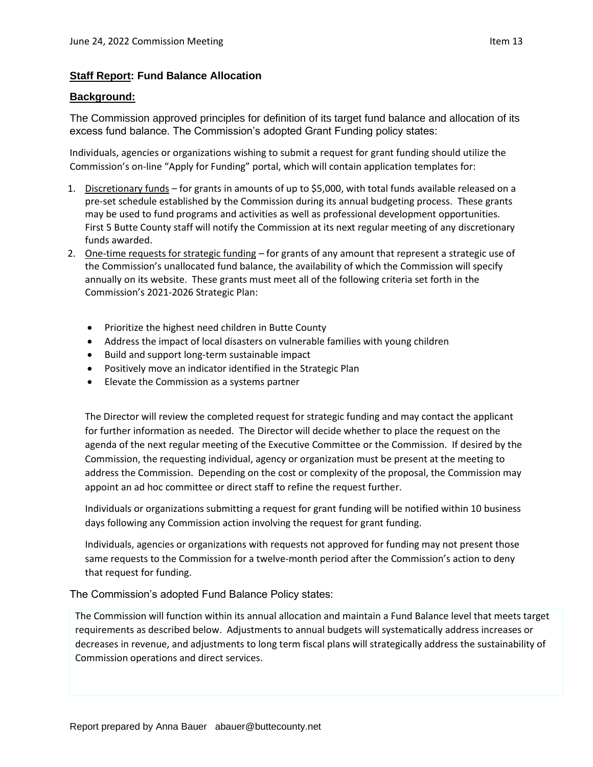## **Staff Report: Fund Balance Allocation**

## **Background:**

The Commission approved principles for definition of its target fund balance and allocation of its excess fund balance. The Commission's adopted Grant Funding policy states:

Individuals, agencies or organizations wishing to submit a request for grant funding should utilize the Commission's on-line "Apply for Funding" portal, which will contain application templates for:

- 1. Discretionary funds for grants in amounts of up to \$5,000, with total funds available released on a pre-set schedule established by the Commission during its annual budgeting process. These grants may be used to fund programs and activities as well as professional development opportunities. First 5 Butte County staff will notify the Commission at its next regular meeting of any discretionary funds awarded.
- 2. One-time requests for strategic funding for grants of any amount that represent a strategic use of the Commission's unallocated fund balance, the availability of which the Commission will specify annually on its website. These grants must meet all of the following criteria set forth in the Commission's 2021-2026 Strategic Plan:
	- Prioritize the highest need children in Butte County
	- Address the impact of local disasters on vulnerable families with young children
	- Build and support long-term sustainable impact
	- Positively move an indicator identified in the Strategic Plan
	- Elevate the Commission as a systems partner

The Director will review the completed request for strategic funding and may contact the applicant for further information as needed. The Director will decide whether to place the request on the agenda of the next regular meeting of the Executive Committee or the Commission. If desired by the Commission, the requesting individual, agency or organization must be present at the meeting to address the Commission. Depending on the cost or complexity of the proposal, the Commission may appoint an ad hoc committee or direct staff to refine the request further.

Individuals or organizations submitting a request for grant funding will be notified within 10 business days following any Commission action involving the request for grant funding.

Individuals, agencies or organizations with requests not approved for funding may not present those same requests to the Commission for a twelve-month period after the Commission's action to deny that request for funding.

The Commission's adopted Fund Balance Policy states:

The Commission will function within its annual allocation and maintain a Fund Balance level that meets target requirements as described below. Adjustments to annual budgets will systematically address increases or decreases in revenue, and adjustments to long term fiscal plans will strategically address the sustainability of Commission operations and direct services.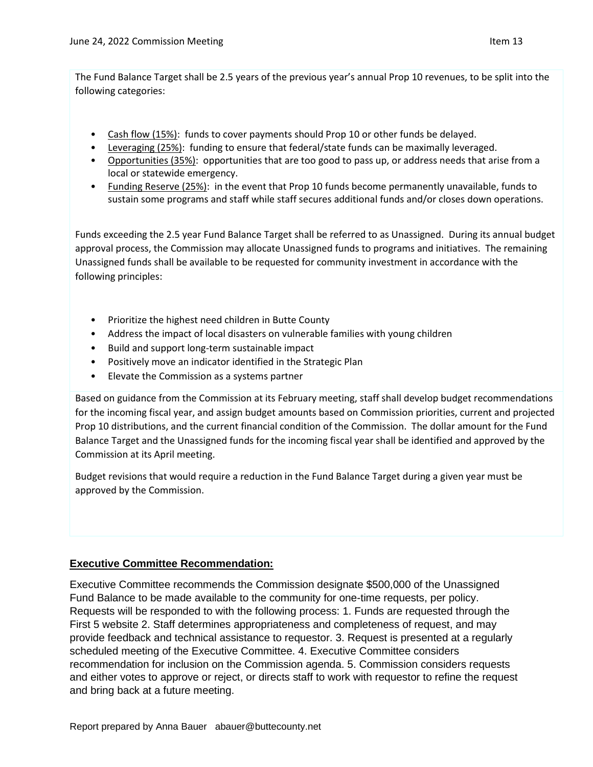The Fund Balance Target shall be 2.5 years of the previous year's annual Prop 10 revenues, to be split into the following categories:

- Cash flow (15%): funds to cover payments should Prop 10 or other funds be delayed.
- Leveraging (25%): funding to ensure that federal/state funds can be maximally leveraged.
- Opportunities (35%): opportunities that are too good to pass up, or address needs that arise from a local or statewide emergency.
- Funding Reserve (25%): in the event that Prop 10 funds become permanently unavailable, funds to sustain some programs and staff while staff secures additional funds and/or closes down operations.

Funds exceeding the 2.5 year Fund Balance Target shall be referred to as Unassigned. During its annual budget approval process, the Commission may allocate Unassigned funds to programs and initiatives. The remaining Unassigned funds shall be available to be requested for community investment in accordance with the following principles:

- Prioritize the highest need children in Butte County
- Address the impact of local disasters on vulnerable families with young children
- Build and support long-term sustainable impact
- Positively move an indicator identified in the Strategic Plan
- Elevate the Commission as a systems partner

Based on guidance from the Commission at its February meeting, staff shall develop budget recommendations for the incoming fiscal year, and assign budget amounts based on Commission priorities, current and projected Prop 10 distributions, and the current financial condition of the Commission. The dollar amount for the Fund Balance Target and the Unassigned funds for the incoming fiscal year shall be identified and approved by the Commission at its April meeting.

Budget revisions that would require a reduction in the Fund Balance Target during a given year must be approved by the Commission.

## **Executive Committee Recommendation:**

Executive Committee recommends the Commission designate \$500,000 of the Unassigned Fund Balance to be made available to the community for one-time requests, per policy. Requests will be responded to with the following process: 1. Funds are requested through the First 5 website 2. Staff determines appropriateness and completeness of request, and may provide feedback and technical assistance to requestor. 3. Request is presented at a regularly scheduled meeting of the Executive Committee. 4. Executive Committee considers recommendation for inclusion on the Commission agenda. 5. Commission considers requests and either votes to approve or reject, or directs staff to work with requestor to refine the request and bring back at a future meeting.